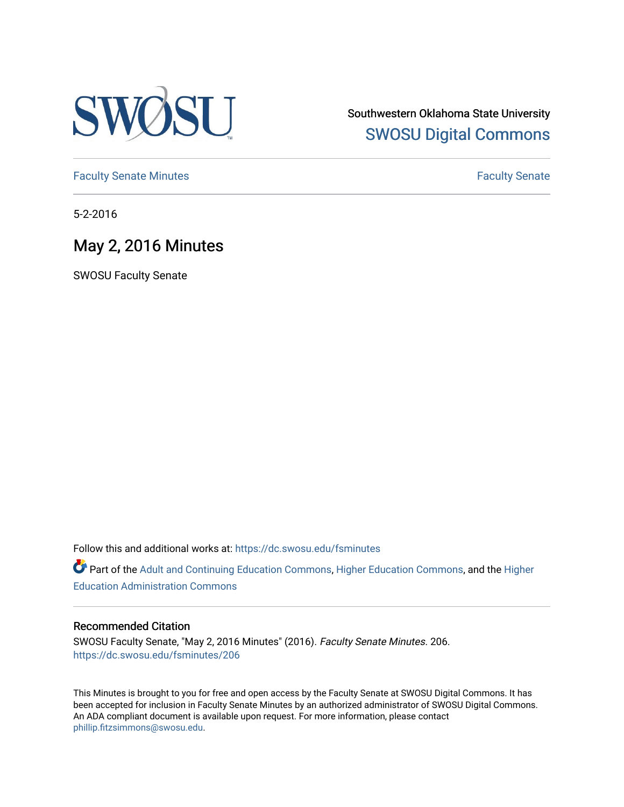

Southwestern Oklahoma State University [SWOSU Digital Commons](https://dc.swosu.edu/) 

[Faculty Senate Minutes](https://dc.swosu.edu/fsminutes) **Faculty** Senate Minutes

5-2-2016

# May 2, 2016 Minutes

SWOSU Faculty Senate

Follow this and additional works at: [https://dc.swosu.edu/fsminutes](https://dc.swosu.edu/fsminutes?utm_source=dc.swosu.edu%2Ffsminutes%2F206&utm_medium=PDF&utm_campaign=PDFCoverPages) 

Part of the [Adult and Continuing Education Commons,](http://network.bepress.com/hgg/discipline/1375?utm_source=dc.swosu.edu%2Ffsminutes%2F206&utm_medium=PDF&utm_campaign=PDFCoverPages) [Higher Education Commons,](http://network.bepress.com/hgg/discipline/1245?utm_source=dc.swosu.edu%2Ffsminutes%2F206&utm_medium=PDF&utm_campaign=PDFCoverPages) and the [Higher](http://network.bepress.com/hgg/discipline/791?utm_source=dc.swosu.edu%2Ffsminutes%2F206&utm_medium=PDF&utm_campaign=PDFCoverPages) [Education Administration Commons](http://network.bepress.com/hgg/discipline/791?utm_source=dc.swosu.edu%2Ffsminutes%2F206&utm_medium=PDF&utm_campaign=PDFCoverPages) 

#### Recommended Citation

SWOSU Faculty Senate, "May 2, 2016 Minutes" (2016). Faculty Senate Minutes. 206. [https://dc.swosu.edu/fsminutes/206](https://dc.swosu.edu/fsminutes/206?utm_source=dc.swosu.edu%2Ffsminutes%2F206&utm_medium=PDF&utm_campaign=PDFCoverPages) 

This Minutes is brought to you for free and open access by the Faculty Senate at SWOSU Digital Commons. It has been accepted for inclusion in Faculty Senate Minutes by an authorized administrator of SWOSU Digital Commons. An ADA compliant document is available upon request. For more information, please contact [phillip.fitzsimmons@swosu.edu](mailto:phillip.fitzsimmons@swosu.edu).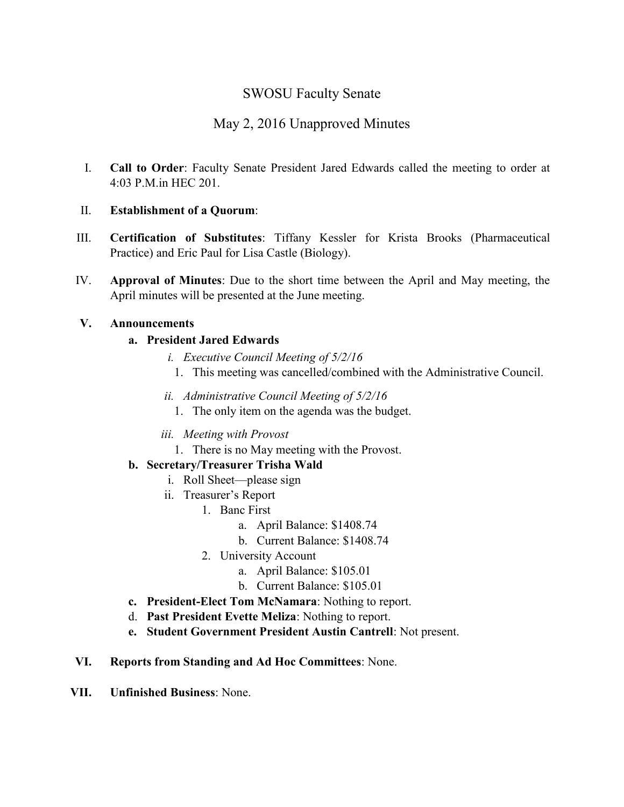## SWOSU Faculty Senate

## May 2, 2016 Unapproved Minutes

I. **Call to Order**: Faculty Senate President Jared Edwards called the meeting to order at 4:03 P.M.in HEC 201.

#### II. **Establishment of a Quorum**:

- III. **Certification of Substitutes**: Tiffany Kessler for Krista Brooks (Pharmaceutical Practice) and Eric Paul for Lisa Castle (Biology).
- IV. **Approval of Minutes**: Due to the short time between the April and May meeting, the April minutes will be presented at the June meeting.

#### **V. Announcements**

#### **a. President Jared Edwards**

- *i. Executive Council Meeting of 5/2/16*
- 1. This meeting was cancelled/combined with the Administrative Council.
- *ii. Administrative Council Meeting of 5/2/16*
	- 1. The only item on the agenda was the budget.
- *iii. Meeting with Provost*
	- 1. There is no May meeting with the Provost.

### **b. Secretary/Treasurer Trisha Wald**

- i. Roll Sheet—please sign
- ii. Treasurer's Report
	- 1. Banc First
		- a. April Balance: \$1408.74
		- b. Current Balance: \$1408.74
	- 2. University Account
		- a. April Balance: \$105.01
		- b. Current Balance: \$105.01
- **c. President-Elect Tom McNamara**: Nothing to report.
- d. **Past President Evette Meliza**: Nothing to report.
- **e. Student Government President Austin Cantrell**: Not present.
- **VI. Reports from Standing and Ad Hoc Committees**: None.
- **VII. Unfinished Business**: None.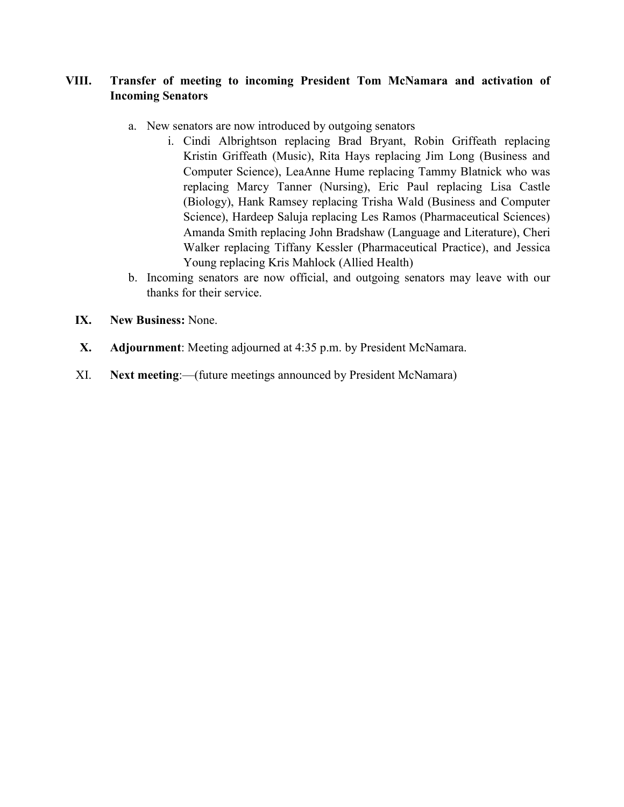#### **VIII. Transfer of meeting to incoming President Tom McNamara and activation of Incoming Senators**

- a. New senators are now introduced by outgoing senators
	- i. Cindi Albrightson replacing Brad Bryant, Robin Griffeath replacing Kristin Griffeath (Music), Rita Hays replacing Jim Long (Business and Computer Science), LeaAnne Hume replacing Tammy Blatnick who was replacing Marcy Tanner (Nursing), Eric Paul replacing Lisa Castle (Biology), Hank Ramsey replacing Trisha Wald (Business and Computer Science), Hardeep Saluja replacing Les Ramos (Pharmaceutical Sciences) Amanda Smith replacing John Bradshaw (Language and Literature), Cheri Walker replacing Tiffany Kessler (Pharmaceutical Practice), and Jessica Young replacing Kris Mahlock (Allied Health)
- b. Incoming senators are now official, and outgoing senators may leave with our thanks for their service.
- **IX. New Business:** None.
- **X. Adjournment**: Meeting adjourned at 4:35 p.m. by President McNamara.
- XI. **Next meeting**:—(future meetings announced by President McNamara)